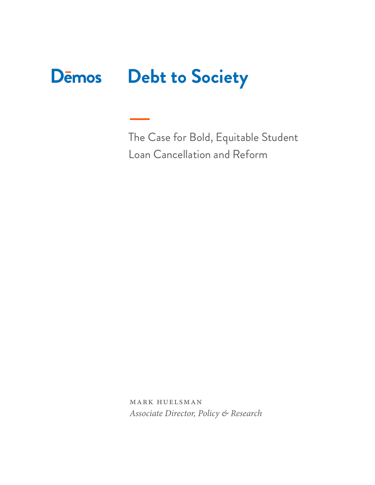# **Debt to Society Dēmos**

The Case for Bold, Equitable Student Loan Cancellation and Reform

mark huelsman *Associate Director, Policy & Research*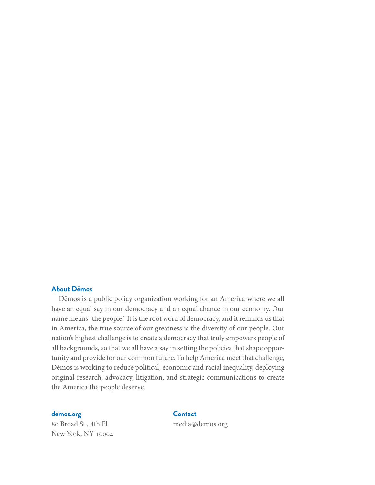#### **About Dēmos**

Dēmos is a public policy organization working for an America where we all have an equal say in our democracy and an equal chance in our economy. Our name means "the people." It is the root word of democracy, and it reminds us that in America, the true source of our greatness is the diversity of our people. Our nation's highest challenge is to create a democracy that truly empowers people of all backgrounds, so that we all have a say in setting the policies that shape opportunity and provide for our common future. To help America meet that challenge, Dēmos is working to reduce political, economic and racial inequality, deploying original research, advocacy, litigation, and strategic communications to create the America the people deserve.

**[demos.org](http://demos.org)**

80 Broad St., 4th Fl. New York, NY 10004

**Contact** media@demos.org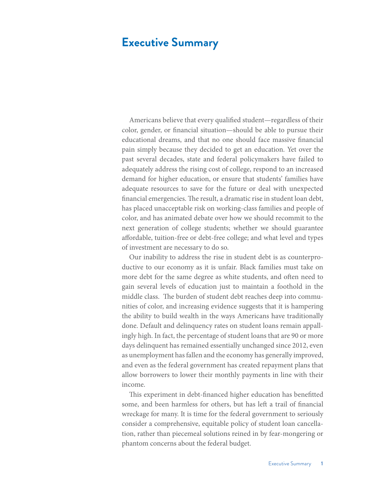# **Executive Summary**

Americans believe that every qualified student—regardless of their color, gender, or financial situation—should be able to pursue their educational dreams, and that no one should face massive financial pain simply because they decided to get an education. Yet over the past several decades, state and federal policymakers have failed to adequately address the rising cost of college, respond to an increased demand for higher education, or ensure that students' families have adequate resources to save for the future or deal with unexpected financial emergencies. The result, a dramatic rise in student loan debt, has placed unacceptable risk on working-class families and people of color, and has animated debate over how we should recommit to the next generation of college students; whether we should guarantee affordable, tuition-free or debt-free college; and what level and types of investment are necessary to do so.

Our inability to address the rise in student debt is as counterproductive to our economy as it is unfair. Black families must take on more debt for the same degree as white students, and often need to gain several levels of education just to maintain a foothold in the middle class. The burden of student debt reaches deep into communities of color, and increasing evidence suggests that it is hampering the ability to build wealth in the ways Americans have traditionally done. Default and delinquency rates on student loans remain appallingly high. In fact, the percentage of student loans that are 90 or more days delinquent has remained essentially unchanged since 2012, even as unemployment has fallen and the economy has generally improved, and even as the federal government has created repayment plans that allow borrowers to lower their monthly payments in line with their income.

This experiment in debt-financed higher education has benefitted some, and been harmless for others, but has left a trail of financial wreckage for many. It is time for the federal government to seriously consider a comprehensive, equitable policy of student loan cancellation, rather than piecemeal solutions reined in by fear-mongering or phantom concerns about the federal budget.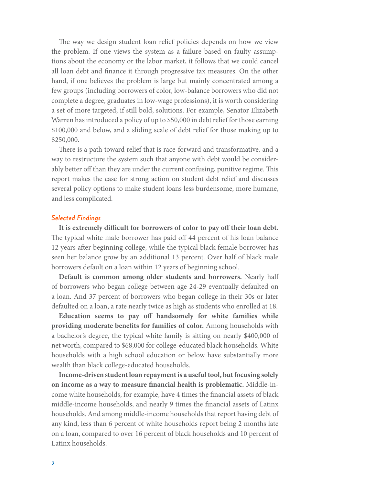The way we design student loan relief policies depends on how we view the problem. If one views the system as a failure based on faulty assumptions about the economy or the labor market, it follows that we could cancel all loan debt and finance it through progressive tax measures. On the other hand, if one believes the problem is large but mainly concentrated among a few groups (including borrowers of color, low-balance borrowers who did not complete a degree, graduates in low-wage professions), it is worth considering a set of more targeted, if still bold, solutions. For example, Senator Elizabeth Warren has introduced a policy of up to \$50,000 in debt relief for those earning \$100,000 and below, and a sliding scale of debt relief for those making up to \$250,000.

There is a path toward relief that is race-forward and transformative, and a way to restructure the system such that anyone with debt would be considerably better off than they are under the current confusing, punitive regime. This report makes the case for strong action on student debt relief and discusses several policy options to make student loans less burdensome, more humane, and less complicated.

#### *Selected Findings*

**It is extremely difficult for borrowers of color to pay off their loan debt.** The typical white male borrower has paid off 44 percent of his loan balance 12 years after beginning college, while the typical black female borrower has seen her balance grow by an additional 13 percent. Over half of black male borrowers default on a loan within 12 years of beginning school.

**Default is common among older students and borrowers.** Nearly half of borrowers who began college between age 24-29 eventually defaulted on a loan. And 37 percent of borrowers who began college in their 30s or later defaulted on a loan, a rate nearly twice as high as students who enrolled at 18.

**Education seems to pay off handsomely for white families while providing moderate benefits for families of color.** Among households with a bachelor's degree, the typical white family is sitting on nearly \$400,000 of net worth, compared to \$68,000 for college-educated black households. White households with a high school education or below have substantially more wealth than black college-educated households.

**Income-driven student loan repayment is a useful tool, but focusing solely on income as a way to measure financial health is problematic.** Middle-income white households, for example, have 4 times the financial assets of black middle-income households, and nearly 9 times the financial assets of Latinx households. And among middle-income households that report having debt of any kind, less than 6 percent of white households report being 2 months late on a loan, compared to over 16 percent of black households and 10 percent of Latinx households.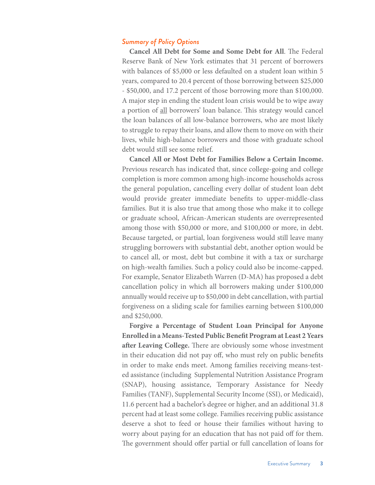#### *Summary of Policy Options*

**Cancel All Debt for Some and Some Debt for All**. The Federal Reserve Bank of New York estimates that 31 percent of borrowers with balances of \$5,000 or less defaulted on a student loan within 5 years, compared to 20.4 percent of those borrowing between \$25,000 - \$50,000, and 17.2 percent of those borrowing more than \$100,000. A major step in ending the student loan crisis would be to wipe away a portion of all borrowers' loan balance. This strategy would cancel the loan balances of all low-balance borrowers, who are most likely to struggle to repay their loans, and allow them to move on with their lives, while high-balance borrowers and those with graduate school debt would still see some relief.

**Cancel All or Most Debt for Families Below a Certain Income.**  Previous research has indicated that, since college-going and college completion is more common among high-income households across the general population, cancelling every dollar of student loan debt would provide greater immediate benefits to upper-middle-class families. But it is also true that among those who make it to college or graduate school, African-American students are overrepresented among those with \$50,000 or more, and \$100,000 or more, in debt. Because targeted, or partial, loan forgiveness would still leave many struggling borrowers with substantial debt, another option would be to cancel all, or most, debt but combine it with a tax or surcharge on high-wealth families. Such a policy could also be income-capped. For example, Senator Elizabeth Warren (D-MA) has proposed a debt cancellation policy in which all borrowers making under \$100,000 annually would receive up to \$50,000 in debt cancellation, with partial forgiveness on a sliding scale for families earning between \$100,000 and \$250,000.

**Forgive a Percentage of Student Loan Principal for Anyone Enrolled in a Means-Tested Public Benefit Program at Least 2 Years after Leaving College.** There are obviously some whose investment in their education did not pay off, who must rely on public benefits in order to make ends meet. Among families receiving means-tested assistance (including Supplemental Nutrition Assistance Program (SNAP), housing assistance, Temporary Assistance for Needy Families (TANF), Supplemental Security Income (SSI), or Medicaid), 11.6 percent had a bachelor's degree or higher, and an additional 31.8 percent had at least some college. Families receiving public assistance deserve a shot to feed or house their families without having to worry about paying for an education that has not paid off for them. The government should offer partial or full cancellation of loans for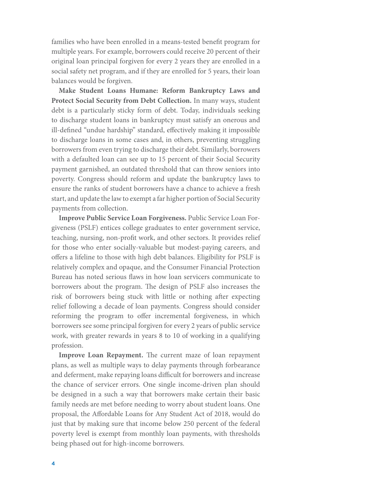families who have been enrolled in a means-tested benefit program for multiple years. For example, borrowers could receive 20 percent of their original loan principal forgiven for every 2 years they are enrolled in a social safety net program, and if they are enrolled for 5 years, their loan balances would be forgiven.

**Make Student Loans Humane: Reform Bankruptcy Laws and Protect Social Security from Debt Collection.** In many ways, student debt is a particularly sticky form of debt. Today, individuals seeking to discharge student loans in bankruptcy must satisfy an onerous and ill-defined "undue hardship" standard, effectively making it impossible to discharge loans in some cases and, in others, preventing struggling borrowers from even trying to discharge their debt. Similarly, borrowers with a defaulted loan can see up to 15 percent of their Social Security payment garnished, an outdated threshold that can throw seniors into poverty. Congress should reform and update the bankruptcy laws to ensure the ranks of student borrowers have a chance to achieve a fresh start, and update the law to exempt a far higher portion of Social Security payments from collection.

**Improve Public Service Loan Forgiveness.** Public Service Loan Forgiveness (PSLF) entices college graduates to enter government service, teaching, nursing, non-profit work, and other sectors. It provides relief for those who enter socially-valuable but modest-paying careers, and offers a lifeline to those with high debt balances. Eligibility for PSLF is relatively complex and opaque, and the Consumer Financial Protection Bureau has noted serious flaws in how loan servicers communicate to borrowers about the program. The design of PSLF also increases the risk of borrowers being stuck with little or nothing after expecting relief following a decade of loan payments. Congress should consider reforming the program to offer incremental forgiveness, in which borrowers see some principal forgiven for every 2 years of public service work, with greater rewards in years 8 to 10 of working in a qualifying profession.

**Improve Loan Repayment.** The current maze of loan repayment plans, as well as multiple ways to delay payments through forbearance and deferment, make repaying loans difficult for borrowers and increase the chance of servicer errors. One single income-driven plan should be designed in a such a way that borrowers make certain their basic family needs are met before needing to worry about student loans. One proposal, the Affordable Loans for Any Student Act of 2018, would do just that by making sure that income below 250 percent of the federal poverty level is exempt from monthly loan payments, with thresholds being phased out for high-income borrowers.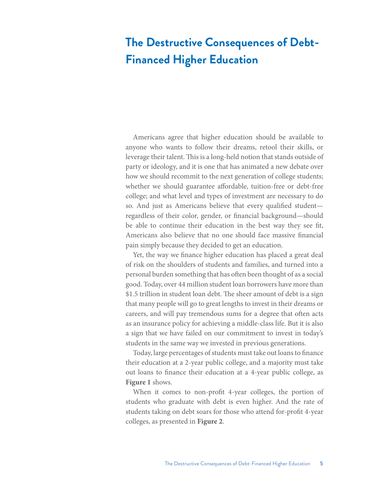# **The Destructive Consequences of Debt-Financed Higher Education**

Americans agree that higher education should be available to anyone who wants to follow their dreams, retool their skills, or leverage their talent. This is a long-held notion that stands outside of party or ideology, and it is one that has animated a new debate over how we should recommit to the next generation of college students; whether we should guarantee affordable, tuition-free or debt-free college; and what level and types of investment are necessary to do so. And just as Americans believe that every qualified student regardless of their color, gender, or financial background—should be able to continue their education in the best way they see fit, Americans also believe that no one should face massive financial pain simply because they decided to get an education.

Yet, the way we finance higher education has placed a great deal of risk on the shoulders of students and families, and turned into a personal burden something that has often been thought of as a social good. Today, over 44 million student loan borrowers have more than \$1.5 trillion in student loan debt. The sheer amount of debt is a sign that many people will go to great lengths to invest in their dreams or careers, and will pay tremendous sums for a degree that often acts as an insurance policy for achieving a middle-class life. But it is also a sign that we have failed on our commitment to invest in today's students in the same way we invested in previous generations.

Today, large percentages of students must take out loans to finance their education at a 2-year public college, and a majority must take out loans to finance their education at a 4-year public college, as **Figure 1** shows.

When it comes to non-profit 4-year colleges, the portion of students who graduate with debt is even higher. And the rate of students taking on debt soars for those who attend for-profit 4-year colleges, as presented in **Figure 2**.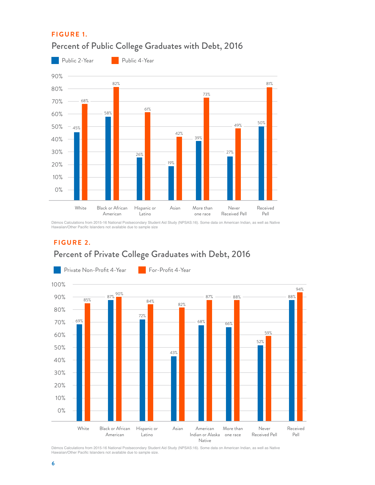### **F I G U R E 1.**



# Percent of Public College Graduates with Debt, 2016

Dēmos Calculations from 2015-16 National Postsecondary Student Aid Study (NPSAS:16). Some data on American Indian, as well as Native<br>Hawaiian/Other Pacific Islanders not available due to sample size

### **F I G U R E 2.**

# Percent of Private College Graduates with Debt, 2016



Dēmos Calculations from 2015-16 National Postsecondary Student Aid Study (NPSAS:16). Some data on American Indian, as well as Native Hawaiian/Other Pacific Islanders not available due to sample size.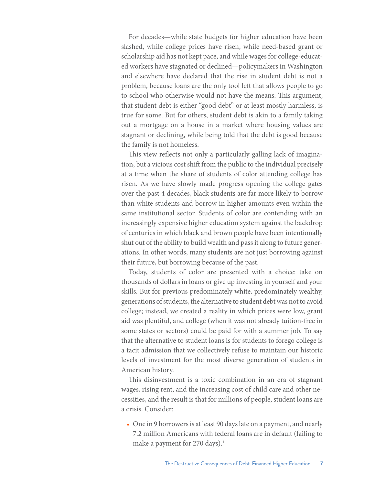For decades—while state budgets for higher education have been slashed, while college prices have risen, while need-based grant or scholarship aid has not kept pace, and while wages for college-educated workers have stagnated or declined—policymakers in Washington and elsewhere have declared that the rise in student debt is not a problem, because loans are the only tool left that allows people to go to school who otherwise would not have the means. This argument, that student debt is either "good debt" or at least mostly harmless, is true for some. But for others, student debt is akin to a family taking out a mortgage on a house in a market where housing values are stagnant or declining, while being told that the debt is good because the family is not homeless.

This view reflects not only a particularly galling lack of imagination, but a vicious cost shift from the public to the individual precisely at a time when the share of students of color attending college has risen. As we have slowly made progress opening the college gates over the past 4 decades, black students are far more likely to borrow than white students and borrow in higher amounts even within the same institutional sector. Students of color are contending with an increasingly expensive higher education system against the backdrop of centuries in which black and brown people have been intentionally shut out of the ability to build wealth and pass it along to future generations. In other words, many students are not just borrowing against their future, but borrowing because of the past.

Today, students of color are presented with a choice: take on thousands of dollars in loans or give up investing in yourself and your skills. But for previous predominately white, predominately wealthy, generations of students, the alternative to student debt was not to avoid college; instead, we created a reality in which prices were low, grant aid was plentiful, and college (when it was not already tuition-free in some states or sectors) could be paid for with a summer job. To say that the alternative to student loans is for students to forego college is a tacit admission that we collectively refuse to maintain our historic levels of investment for the most diverse generation of students in American history.

This disinvestment is a toxic combination in an era of stagnant wages, rising rent, and the increasing cost of child care and other necessities, and the result is that for millions of people, student loans are a crisis. Consider:

• One in 9 borrowers is at least 90 days late on a payment, and nearly 7.2 million Americans with federal loans are in default (failing to make a payment for 270 days).<sup>1</sup>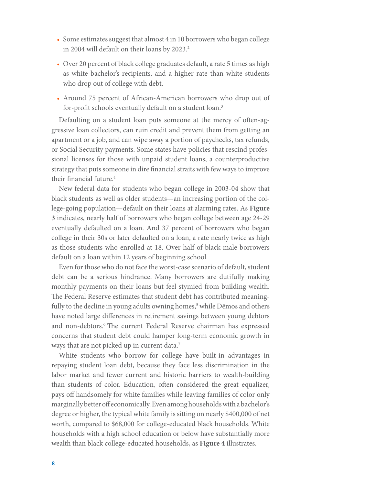- Some estimates suggest that almost 4 in 10 borrowers who began college in 2004 will default on their loans by 2023.<sup>2</sup>
- Over 20 percent of black college graduates default, a rate 5 times as high as white bachelor's recipients, and a higher rate than white students who drop out of college with debt.
- Around 75 percent of African-American borrowers who drop out of for-profit schools eventually default on a student loan.<sup>3</sup>

Defaulting on a student loan puts someone at the mercy of often-aggressive loan collectors, can ruin credit and prevent them from getting an apartment or a job, and can wipe away a portion of paychecks, tax refunds, or Social Security payments. Some states have policies that rescind professional licenses for those with unpaid student loans, a counterproductive strategy that puts someone in dire financial straits with few ways to improve their financial future.<sup>4</sup>

New federal data for students who began college in 2003-04 show that black students as well as older students—an increasing portion of the college-going population—default on their loans at alarming rates. As **Figure 3** indicates, nearly half of borrowers who began college between age 24-29 eventually defaulted on a loan. And 37 percent of borrowers who began college in their 30s or later defaulted on a loan, a rate nearly twice as high as those students who enrolled at 18. Over half of black male borrowers default on a loan within 12 years of beginning school.

Even for those who do not face the worst-case scenario of default, student debt can be a serious hindrance. Many borrowers are dutifully making monthly payments on their loans but feel stymied from building wealth. The Federal Reserve estimates that student debt has contributed meaningfully to the decline in young adults owning homes,<sup>5</sup> while Dēmos and others have noted large differences in retirement savings between young debtors and non-debtors.6 The current Federal Reserve chairman has expressed concerns that student debt could hamper long-term economic growth in ways that are not picked up in current data.<sup>7</sup>

White students who borrow for college have built-in advantages in repaying student loan debt, because they face less discrimination in the labor market and fewer current and historic barriers to wealth-building than students of color. Education, often considered the great equalizer, pays off handsomely for white families while leaving families of color only marginally better off economically. Even among households with a bachelor's degree or higher, the typical white family is sitting on nearly \$400,000 of net worth, compared to \$68,000 for college-educated black households. White households with a high school education or below have substantially more wealth than black college-educated households, as **Figure 4** illustrates.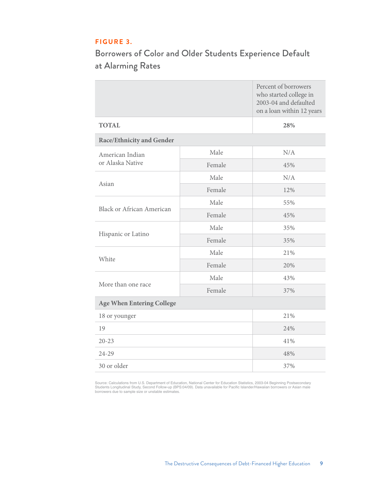### **F I G U R E 3.**

# Borrowers of Color and Older Students Experience Default at Alarming Rates

|                                  |        | Percent of borrowers<br>who started college in<br>2003-04 and defaulted<br>on a loan within 12 years |  |  |
|----------------------------------|--------|------------------------------------------------------------------------------------------------------|--|--|
| <b>TOTAL</b>                     |        | 28%                                                                                                  |  |  |
| <b>Race/Ethnicity and Gender</b> |        |                                                                                                      |  |  |
| American Indian                  | Male   | N/A                                                                                                  |  |  |
| or Alaska Native                 | Female | 45%                                                                                                  |  |  |
|                                  | Male   | N/A                                                                                                  |  |  |
| Asian                            | Female | 12%                                                                                                  |  |  |
| <b>Black or African American</b> | Male   | 55%                                                                                                  |  |  |
|                                  | Female | 45%                                                                                                  |  |  |
|                                  | Male   | 35%                                                                                                  |  |  |
| Hispanic or Latino               | Female | 35%                                                                                                  |  |  |
|                                  | Male   | 21%                                                                                                  |  |  |
| White                            | Female | 20%                                                                                                  |  |  |
|                                  | Male   | 43%                                                                                                  |  |  |
| More than one race               | Female | 37%                                                                                                  |  |  |
| <b>Age When Entering College</b> |        |                                                                                                      |  |  |
| 18 or younger                    |        | 21%                                                                                                  |  |  |
| 19                               |        | 24%                                                                                                  |  |  |
| $20 - 23$                        |        | 41%                                                                                                  |  |  |
| 24-29                            |        | 48%                                                                                                  |  |  |
| 30 or older                      |        | 37%                                                                                                  |  |  |

Source: Calculations from U.S. Department of Education, National Center for Education Statistics, 2003-04 Beginning Postsecondary<br>Students Longitudinal Study, Second Follow-up (BPS:04/09). Data unavailable for Pacific Isla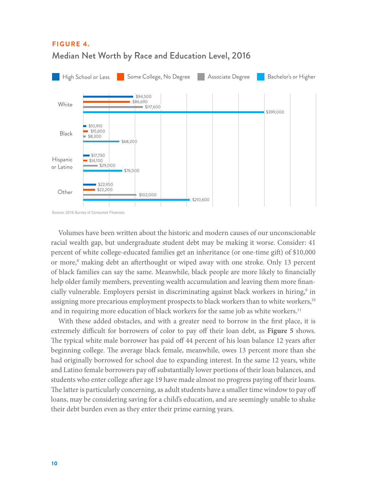

## **F I G U R E 4.**  Median Net Worth by Race and Education Level, 2016

Volumes have been written about the historic and modern causes of our unconscionable racial wealth gap, but undergraduate student debt may be making it worse. Consider: 41 percent of white college-educated families get an inheritance (or one-time gift) of \$10,000 or more,<sup>8</sup> making debt an afterthought or wiped away with one stroke. Only 13 percent of black families can say the same. Meanwhile, black people are more likely to financially help older family members, preventing wealth accumulation and leaving them more financially vulnerable. Employers persist in discriminating against black workers in hiring,<sup>9</sup> in assigning more precarious employment prospects to black workers than to white workers,<sup>10</sup> and in requiring more education of black workers for the same job as white workers.<sup>11</sup>

With these added obstacles, and with a greater need to borrow in the first place, it is extremely difficult for borrowers of color to pay off their loan debt, as **Figure 5** shows. The typical white male borrower has paid off 44 percent of his loan balance 12 years after beginning college. The average black female, meanwhile, owes 13 percent more than she had originally borrowed for school due to expanding interest. In the same 12 years, white and Latino female borrowers pay off substantially lower portions of their loan balances, and students who enter college after age 19 have made almost no progress paying off their loans. The latter is particularly concerning, as adult students have a smaller time window to pay off loans, may be considering saving for a child's education, and are seemingly unable to shake their debt burden even as they enter their prime earning years.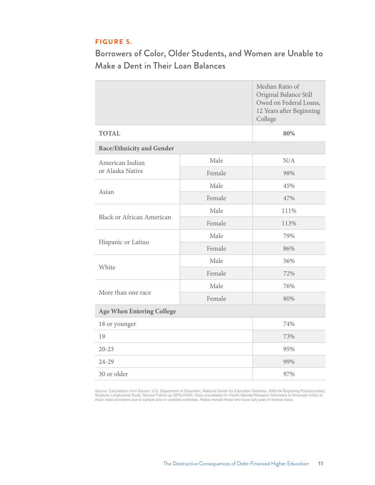### **F I G U R E 5.**

Borrowers of Color, Older Students, and Women are Unable to Make a Dent in Their Loan Balances

|                                  |        | Median Ratio of<br>Original Balance Still<br>Owed on Federal Loans,<br>12 Years after Beginning<br>College |  |  |
|----------------------------------|--------|------------------------------------------------------------------------------------------------------------|--|--|
| <b>TOTAL</b>                     |        | 80%                                                                                                        |  |  |
| <b>Race/Ethnicity and Gender</b> |        |                                                                                                            |  |  |
| American Indian                  | Male   | N/A                                                                                                        |  |  |
| or Alaska Native                 | Female | 98%                                                                                                        |  |  |
|                                  | Male   | 45%                                                                                                        |  |  |
| Asian                            | Female | 47%                                                                                                        |  |  |
| <b>Black or African American</b> | Male   | 111%                                                                                                       |  |  |
|                                  | Female | 113%                                                                                                       |  |  |
|                                  | Male   | 79%                                                                                                        |  |  |
| Hispanic or Latino               | Female | 86%                                                                                                        |  |  |
| White                            | Male   | 56%                                                                                                        |  |  |
|                                  | Female | 72%                                                                                                        |  |  |
| More than one race               | Male   | 76%                                                                                                        |  |  |
|                                  | Female | 80%                                                                                                        |  |  |
| <b>Age When Entering College</b> |        |                                                                                                            |  |  |
| 18 or younger                    |        | 74%                                                                                                        |  |  |
| 19                               |        | 73%                                                                                                        |  |  |
| $20 - 23$                        |        | 95%                                                                                                        |  |  |
| 24-29                            |        | 99%                                                                                                        |  |  |
| 30 or older                      | 97%    |                                                                                                            |  |  |

Source: Calculations from Source: U.S. Department of Education, National Center for Education Statistics, 2003-04 Beginning Postsecondary<br>Students Longitudinal Study, Second Follow-up (BPS:04/09). Data unavailable for Paci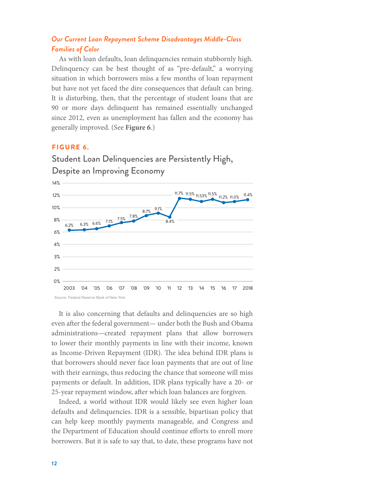### *Our Current Loan Repayment Scheme Disadvantages Middle-Class Families of Color*

As with loan defaults, loan delinquencies remain stubbornly high. Delinquency can be best thought of as "pre-default," a worrying situation in which borrowers miss a few months of loan repayment but have not yet faced the dire consequences that default can bring. It is disturbing, then, that the percentage of student loans that are 90 or more days delinquent has remained essentially unchanged since 2012, even as unemployment has fallen and the economy has generally improved. (See **Figure 6**.)

#### **F I G U R E 6.**



Student Loan Delinquencies are Persistently High, Despite an Improving Economy

It is also concerning that defaults and delinquencies are so high even after the federal government— under both the Bush and Obama administrations—created repayment plans that allow borrowers to lower their monthly payments in line with their income, known as Income-Driven Repayment (IDR). The idea behind IDR plans is that borrowers should never face loan payments that are out of line with their earnings, thus reducing the chance that someone will miss payments or default. In addition, IDR plans typically have a 20- or 25-year repayment window, after which loan balances are forgiven.

Indeed, a world without IDR would likely see even higher loan defaults and delinquencies. IDR is a sensible, bipartisan policy that can help keep monthly payments manageable, and Congress and the Department of Education should continue efforts to enroll more borrowers. But it is safe to say that, to date, these programs have not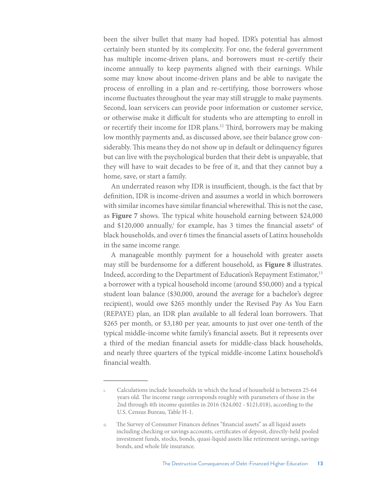been the silver bullet that many had hoped. IDR's potential has almost certainly been stunted by its complexity. For one, the federal government has multiple income-driven plans, and borrowers must re-certify their income annually to keep payments aligned with their earnings. While some may know about income-driven plans and be able to navigate the process of enrolling in a plan and re-certifying, those borrowers whose income fluctuates throughout the year may still struggle to make payments. Second, loan servicers can provide poor information or customer service, or otherwise make it difficult for students who are attempting to enroll in or recertify their income for IDR plans.12 Third, borrowers may be making low monthly payments and, as discussed above, see their balance grow considerably. This means they do not show up in default or delinquency figures but can live with the psychological burden that their debt is unpayable, that they will have to wait decades to be free of it, and that they cannot buy a home, save, or start a family.

An underrated reason why IDR is insufficient, though, is the fact that by definition, IDR is income-driven and assumes a world in which borrowers with similar incomes have similar financial wherewithal. This is not the case, as **Figure 7** shows. The typical white household earning between \$24,000 and \$120,000 annually,<sup>i</sup> for example, has 3 times the financial assets<sup>ii</sup> of black households, and over 6 times the financial assets of Latinx households in the same income range.

A manageable monthly payment for a household with greater assets may still be burdensome for a different household, as **Figure 8** illustrates. Indeed, according to the Department of Education's Repayment Estimator,<sup>13</sup> a borrower with a typical household income (around \$50,000) and a typical student loan balance (\$30,000, around the average for a bachelor's degree recipient), would owe \$265 monthly under the Revised Pay As You Earn (REPAYE) plan, an IDR plan available to all federal loan borrowers. That \$265 per month, or \$3,180 per year, amounts to just over one-tenth of the typical middle-income white family's financial assets. But it represents over a third of the median financial assets for middle-class black households, and nearly three quarters of the typical middle-income Latinx household's financial wealth.

Calculations include households in which the head of household is between 25-64 years old. The income range corresponds roughly with parameters of those in the 2nd through 4th income quintiles in 2016 (\$24,002 - \$121,018), according to the U.S. Census Bureau, Table H-1.

ii. The Survey of Consumer Finances defines "financial assets" as all liquid assets including checking or savings accounts, certificates of deposit, directly-held pooled investment funds, stocks, bonds, quasi-liquid assets like retirement savings, savings bonds, and whole life insurance.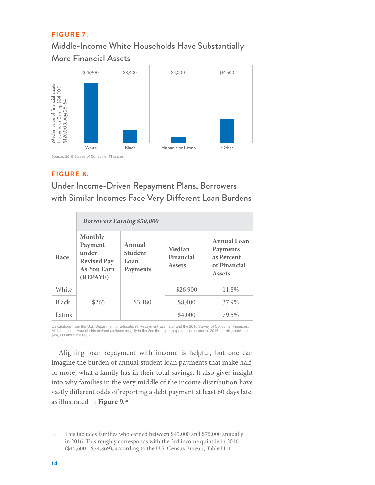### **FIGURE 7.**

# Middle-Income White Households Have Substantially More Financial Assets



### **F I G U R E 8.**

# Under Income-Driven Repayment Plans, Borrowers with Similar Incomes Face Very Different Loan Burdens

|              | <b>Borrowers Earning \$50,000</b>                                                   |                                              |                                      |                                                                        |
|--------------|-------------------------------------------------------------------------------------|----------------------------------------------|--------------------------------------|------------------------------------------------------------------------|
| Race         | <b>Monthly</b><br>Payment<br>under<br><b>Revised Pay</b><br>As You Earn<br>(REPAYE) | Annual<br><b>Student</b><br>Loan<br>Payments | Median<br>Financial<br><b>Assets</b> | Annual Loan<br>Payments<br>as Percent<br>of Financial<br><b>Assets</b> |
| White        |                                                                                     |                                              | \$26,900                             | 11.8%                                                                  |
| <b>Black</b> | \$265                                                                               | \$3,180                                      | \$8,400                              | 37.9%                                                                  |
| Latinx       |                                                                                     |                                              | \$4,000                              | 79.5%                                                                  |

Calculations from the U.S. Department of Education's Repayment Estimator and the 2016 Survey of Consumer Finances.<br>Middle Income Households defined as those roughly in the 2nd through 4th quintiles of income in 2016 (earni \$24,000 and \$120,000)

Aligning loan repayment with income is helpful, but one can imagine the burden of annual student loan payments that make half, or more, what a family has in their total savings. It also gives insight into why families in the very middle of the income distribution have vastly different odds of reporting a debt payment at least 60 days late, as illustrated in Figure 9.<sup>iii</sup>

iii. This includes families who earned between \$45,000 and \$75,000 annually in 2016. This roughly corresponds with the 3rd income quintile in 2016 (\$45,600 - \$74,869), according to the U.S. Census Bureau, Table H-1.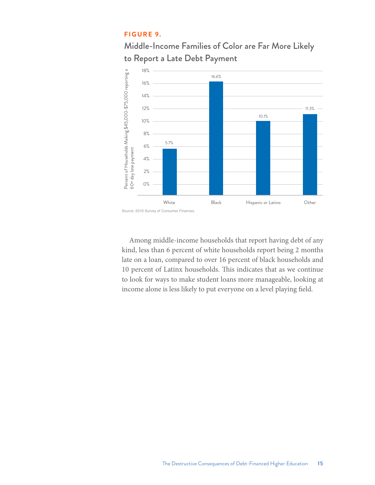#### **F I G U R E 9.**





Among middle-income households that report having debt of any kind, less than 6 percent of white households report being 2 months late on a loan, compared to over 16 percent of black households and 10 percent of Latinx households. This indicates that as we continue to look for ways to make student loans more manageable, looking at income alone is less likely to put everyone on a level playing field.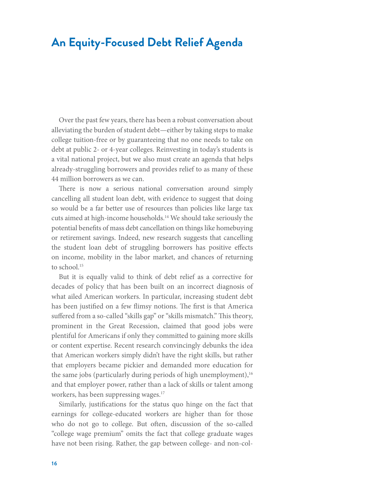# **An Equity-Focused Debt Relief Agenda**

Over the past few years, there has been a robust conversation about alleviating the burden of student debt—either by taking steps to make college tuition-free or by guaranteeing that no one needs to take on debt at public 2- or 4-year colleges. Reinvesting in today's students is a vital national project, but we also must create an agenda that helps already-struggling borrowers and provides relief to as many of these 44 million borrowers as we can.

There is now a serious national conversation around simply cancelling all student loan debt, with evidence to suggest that doing so would be a far better use of resources than policies like large tax cuts aimed at high-income households.14 We should take seriously the potential benefits of mass debt cancellation on things like homebuying or retirement savings. Indeed, new research suggests that cancelling the student loan debt of struggling borrowers has positive effects on income, mobility in the labor market, and chances of returning to school.<sup>15</sup>

But it is equally valid to think of debt relief as a corrective for decades of policy that has been built on an incorrect diagnosis of what ailed American workers. In particular, increasing student debt has been justified on a few flimsy notions. The first is that America suffered from a so-called "skills gap" or "skills mismatch." This theory, prominent in the Great Recession, claimed that good jobs were plentiful for Americans if only they committed to gaining more skills or content expertise. Recent research convincingly debunks the idea that American workers simply didn't have the right skills, but rather that employers became pickier and demanded more education for the same jobs (particularly during periods of high unemployment),  $16$ and that employer power, rather than a lack of skills or talent among workers, has been suppressing wages.<sup>17</sup>

Similarly, justifications for the status quo hinge on the fact that earnings for college-educated workers are higher than for those who do not go to college. But often, discussion of the so-called "college wage premium" omits the fact that college graduate wages have not been rising. Rather, the gap between college- and non-col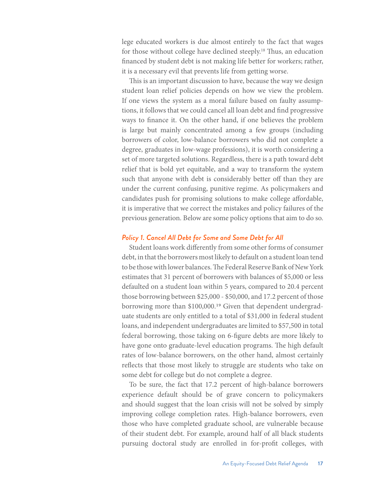lege educated workers is due almost entirely to the fact that wages for those without college have declined steeply.18 Thus, an education financed by student debt is not making life better for workers; rather, it is a necessary evil that prevents life from getting worse.

This is an important discussion to have, because the way we design student loan relief policies depends on how we view the problem. If one views the system as a moral failure based on faulty assumptions, it follows that we could cancel all loan debt and find progressive ways to finance it. On the other hand, if one believes the problem is large but mainly concentrated among a few groups (including borrowers of color, low-balance borrowers who did not complete a degree, graduates in low-wage professions), it is worth considering a set of more targeted solutions. Regardless, there is a path toward debt relief that is bold yet equitable, and a way to transform the system such that anyone with debt is considerably better off than they are under the current confusing, punitive regime. As policymakers and candidates push for promising solutions to make college affordable, it is imperative that we correct the mistakes and policy failures of the previous generation. Below are some policy options that aim to do so.

#### *Policy 1. Cancel All Debt for Some and Some Debt for All*

Student loans work differently from some other forms of consumer debt, in that the borrowers most likely to default on a student loan tend to be those with lower balances. The Federal Reserve Bank of New York estimates that 31 percent of borrowers with balances of \$5,000 or less defaulted on a student loan within 5 years, compared to 20.4 percent those borrowing between \$25,000 - \$50,000, and 17.2 percent of those borrowing more than \$100,000.19 Given that dependent undergraduate students are only entitled to a total of \$31,000 in federal student loans, and independent undergraduates are limited to \$57,500 in total federal borrowing, those taking on 6-figure debts are more likely to have gone onto graduate-level education programs. The high default rates of low-balance borrowers, on the other hand, almost certainly reflects that those most likely to struggle are students who take on some debt for college but do not complete a degree.

To be sure, the fact that 17.2 percent of high-balance borrowers experience default should be of grave concern to policymakers and should suggest that the loan crisis will not be solved by simply improving college completion rates. High-balance borrowers, even those who have completed graduate school, are vulnerable because of their student debt. For example, around half of all black students pursuing doctoral study are enrolled in for-profit colleges, with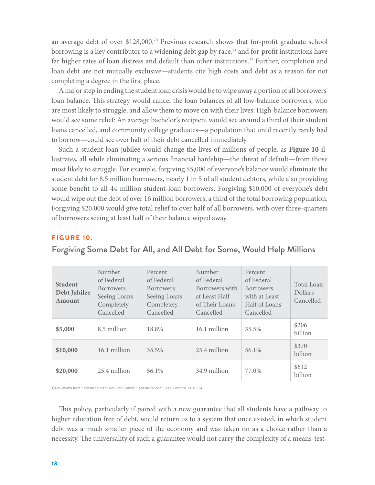an average debt of over \$128,000.<sup>20</sup> Previous research shows that for-profit graduate school borrowing is a key contributor to a widening debt gap by race, $21$  and for-profit institutions have far higher rates of loan distress and default than other institutions.<sup>22</sup> Further, completion and loan debt are not mutually exclusive—students cite high costs and debt as a reason for not completing a degree in the first place.

A major step in ending the student loan crisis would be to wipe away a portion of all borrowers' loan balance. This strategy would cancel the loan balances of all low-balance borrowers, who are most likely to struggle, and allow them to move on with their lives. High-balance borrowers would see some relief: An average bachelor's recipient would see around a third of their student loans cancelled, and community college graduates—a population that until recently rarely had to borrow—could see over half of their debt cancelled immediately.

Such a student loan jubilee would change the lives of millions of people, as **Figure 10** illustrates, all while eliminating a serious financial hardship—the threat of default—from those most likely to struggle. For example, forgiving \$5,000 of everyone's balance would eliminate the student debt for 8.5 million borrowers, nearly 1 in 5 of all student debtors, while also providing some benefit to all 44 million student-loan borrowers. Forgiving \$10,000 of everyone's debt would wipe out the debt of over 16 million borrowers, a third of the total borrowing population. Forgiving \$20,000 would give total relief to over half of all borrowers, with over three-quarters of borrowers seeing at least half of their balance wiped away.

#### **F I G U R E 10.**

| <b>Student</b><br>Debt Jubilee<br>Amount | Number<br>of Federal<br><b>Borrowers</b><br>Seeing Loans<br>Completely<br>Cancelled | Percent<br>of Federal<br><b>Borrowers</b><br>Seeing Loans<br>Completely<br>Cancelled | Number<br>of Federal<br>Borrowers with<br>at Least Half<br>of Their Loans<br>Cancelled | Percent<br>of Federal<br><b>Borrowers</b><br>with at Least<br>Half of Loans<br>Cancelled | <b>Total Loan</b><br><b>Dollars</b><br>Cancelled |
|------------------------------------------|-------------------------------------------------------------------------------------|--------------------------------------------------------------------------------------|----------------------------------------------------------------------------------------|------------------------------------------------------------------------------------------|--------------------------------------------------|
| \$5,000                                  | 8.5 million                                                                         | 18.8%                                                                                | 16.1 million                                                                           | 35.5%                                                                                    | \$206<br>billion                                 |
| \$10,000                                 | 16.1 million                                                                        | 35.5%                                                                                | 25.4 million                                                                           | 56.1%                                                                                    | \$370<br>billion                                 |
| \$20,000                                 | 25.4 million                                                                        | 56.1%                                                                                | 34.9 million                                                                           | 77.0%                                                                                    | \$612<br>billion                                 |

Forgiving Some Debt for All, and All Debt for Some, Would Help Millions

Calculations from Federal Student Aid Data Center, Federal Student Loan Portfolio, 2018 Q4.

This policy, particularly if paired with a new guarantee that all students have a pathway to higher education free of debt, would return us to a system that once existed, in which student debt was a much smaller piece of the economy and was taken on as a choice rather than a necessity. The universality of such a guarantee would not carry the complexity of a means-test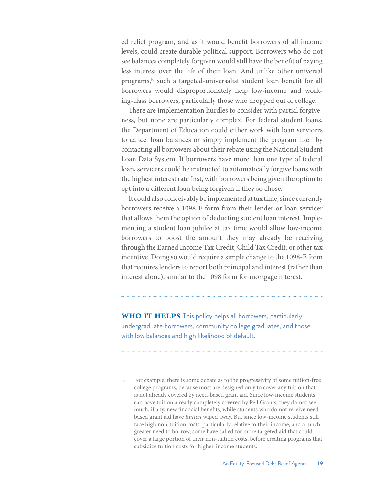ed relief program, and as it would benefit borrowers of all income levels, could create durable political support. Borrowers who do not see balances completely forgiven would still have the benefit of paying less interest over the life of their loan. And unlike other universal programs,<sup>iv</sup> such a targeted-universalist student loan benefit for all borrowers would disproportionately help low-income and working-class borrowers, particularly those who dropped out of college.

There are implementation hurdles to consider with partial forgiveness, but none are particularly complex. For federal student loans, the Department of Education could either work with loan servicers to cancel loan balances or simply implement the program itself by contacting all borrowers about their rebate using the National Student Loan Data System. If borrowers have more than one type of federal loan, servicers could be instructed to automatically forgive loans with the highest interest rate first, with borrowers being given the option to opt into a different loan being forgiven if they so chose.

It could also conceivably be implemented at tax time, since currently borrowers receive a 1098-E form from their lender or loan servicer that allows them the option of deducting student loan interest. Implementing a student loan jubilee at tax time would allow low-income borrowers to boost the amount they may already be receiving through the Earned Income Tax Credit, Child Tax Credit, or other tax incentive. Doing so would require a simple change to the 1098-E form that requires lenders to report both principal and interest (rather than interest alone), similar to the 1098 form for mortgage interest.

**WHO IT HELPS** This policy helps all borrowers, particularly undergraduate borrowers, community college graduates, and those with low balances and high likelihood of default.

iv. For example, there is some debate as to the progressivity of some tuition-free college programs, because most are designed only to cover any tuition that is not already covered by need-based grant aid. Since low-income students can have tuition already completely covered by Pell Grants, they do not see much, if any, new financial benefits, while students who do not receive needbased grant aid have *tuition* wiped away. But since low-income students still face high non-tuition costs, particularly relative to their income, and a much greater need to borrow, some have called for more targeted aid that could cover a large portion of their non-tuition costs, before creating programs that subsidize tuition costs for higher-income students.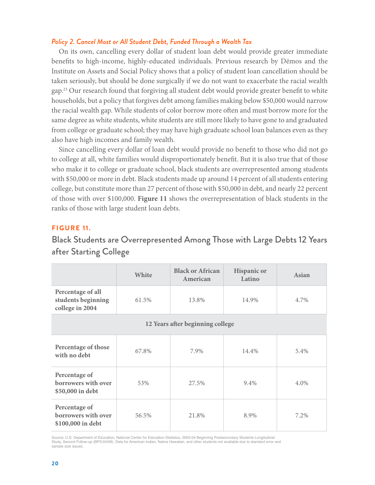#### *Policy 2. Cancel Most or All Student Debt, Funded Through a Wealth Tax*

On its own, cancelling every dollar of student loan debt would provide greater immediate benefits to high-income, highly-educated individuals. Previous research by Dēmos and the Institute on Assets and Social Policy shows that a policy of student loan cancellation should be taken seriously, but should be done surgically if we do not want to exacerbate the racial wealth gap.<sup>23</sup> Our research found that forgiving all student debt would provide greater benefit to white households, but a policy that forgives debt among families making below \$50,000 would narrow the racial wealth gap. While students of color borrow more often and must borrow more for the same degree as white students, white students are still more likely to have gone to and graduated from college or graduate school; they may have high graduate school loan balances even as they also have high incomes and family wealth.

Since cancelling every dollar of loan debt would provide no benefit to those who did not go to college at all, white families would disproportionately benefit. But it is also true that of those who make it to college or graduate school, black students are overrepresented among students with \$50,000 or more in debt. Black students made up around 14 percent of all students entering college, but constitute more than 27 percent of those with \$50,000 in debt, and nearly 22 percent of those with over \$100,000. **Figure 11** shows the overrepresentation of black students in the ranks of those with large student loan debts.

#### **F I G U R E 11.**

## Black Students are Overrepresented Among Those with Large Debts 12 Years after Starting College

|                                                            | White | <b>Black or African</b><br>American | <b>Hispanic or</b><br>Latino | Asian |
|------------------------------------------------------------|-------|-------------------------------------|------------------------------|-------|
| Percentage of all<br>students beginning<br>college in 2004 | 61.5% | 13.8%                               | 14.9%                        | 4.7%  |
| 12 Years after beginning college                           |       |                                     |                              |       |
| Percentage of those<br>with no debt                        | 67.8% | 7.9%                                | 14.4%                        | 5.4%  |
| Percentage of<br>borrowers with over<br>\$50,000 in debt   | 53%   | 27.5%                               | 9.4%                         | 4.0%  |
| Percentage of<br>borrowers with over<br>\$100,000 in debt  | 56.5% | 21.8%                               | 8.9%                         | 7.2%  |

Source: U.S. Department of Education, National Center for Education Statistics, 2003-04 Beginning Postsecondary Students Longitudinal<br>Study, Second Follow-up (BPS:04/09). Data for American Indian, Native Hawaiian, and othe sample size issues.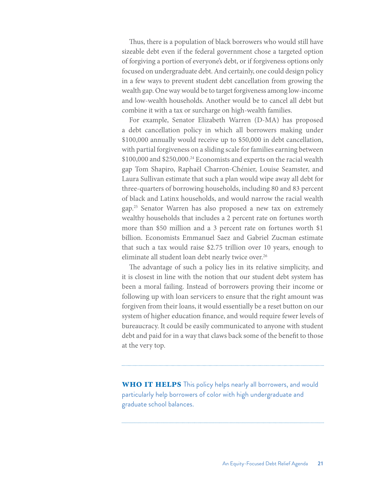Thus, there is a population of black borrowers who would still have sizeable debt even if the federal government chose a targeted option of forgiving a portion of everyone's debt, or if forgiveness options only focused on undergraduate debt. And certainly, one could design policy in a few ways to prevent student debt cancellation from growing the wealth gap. One way would be to target forgiveness among low-income and low-wealth households. Another would be to cancel all debt but combine it with a tax or surcharge on high-wealth families.

For example, Senator Elizabeth Warren (D-MA) has proposed a debt cancellation policy in which all borrowers making under \$100,000 annually would receive up to \$50,000 in debt cancellation, with partial forgiveness on a sliding scale for families earning between \$100,000 and \$250,000.<sup>24</sup> Economists and experts on the racial wealth gap Tom Shapiro, Raphaël Charron-Chénier, Louise Seamster, and Laura Sullivan estimate that such a plan would wipe away all debt for three-quarters of borrowing households, including 80 and 83 percent of black and Latinx households, and would narrow the racial wealth gap.25 Senator Warren has also proposed a new tax on extremely wealthy households that includes a 2 percent rate on fortunes worth more than \$50 million and a 3 percent rate on fortunes worth \$1 billion. Economists Emmanuel Saez and Gabriel Zucman estimate that such a tax would raise \$2.75 trillion over 10 years, enough to eliminate all student loan debt nearly twice over.<sup>26</sup>

The advantage of such a policy lies in its relative simplicity, and it is closest in line with the notion that our student debt system has been a moral failing. Instead of borrowers proving their income or following up with loan servicers to ensure that the right amount was forgiven from their loans, it would essentially be a reset button on our system of higher education finance, and would require fewer levels of bureaucracy. It could be easily communicated to anyone with student debt and paid for in a way that claws back some of the benefit to those at the very top.

**WHO IT HELPS** This policy helps nearly all borrowers, and would particularly help borrowers of color with high undergraduate and graduate school balances.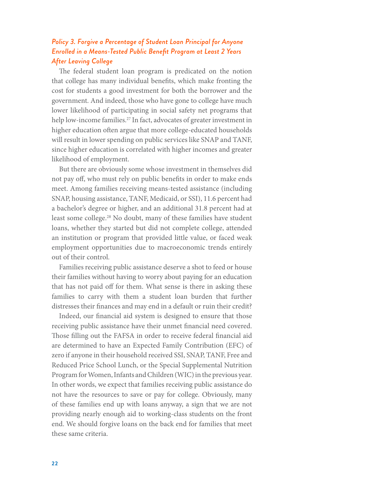### *Policy 3. Forgive a Percentage of Student Loan Principal for Anyone Enrolled in a Means-Tested Public Benefit Program at Least 2 Years After Leaving College*

The federal student loan program is predicated on the notion that college has many individual benefits, which make fronting the cost for students a good investment for both the borrower and the government. And indeed, those who have gone to college have much lower likelihood of participating in social safety net programs that help low-income families.<sup>27</sup> In fact, advocates of greater investment in higher education often argue that more college-educated households will result in lower spending on public services like SNAP and TANF, since higher education is correlated with higher incomes and greater likelihood of employment.

But there are obviously some whose investment in themselves did not pay off, who must rely on public benefits in order to make ends meet. Among families receiving means-tested assistance (including SNAP, housing assistance, TANF, Medicaid, or SSI), 11.6 percent had a bachelor's degree or higher, and an additional 31.8 percent had at least some college.28 No doubt, many of these families have student loans, whether they started but did not complete college, attended an institution or program that provided little value, or faced weak employment opportunities due to macroeconomic trends entirely out of their control.

Families receiving public assistance deserve a shot to feed or house their families without having to worry about paying for an education that has not paid off for them. What sense is there in asking these families to carry with them a student loan burden that further distresses their finances and may end in a default or ruin their credit?

Indeed, our financial aid system is designed to ensure that those receiving public assistance have their unmet financial need covered. Those filling out the FAFSA in order to receive federal financial aid are determined to have an Expected Family Contribution (EFC) of zero if anyone in their household received SSI, SNAP, TANF, Free and Reduced Price School Lunch, or the Special Supplemental Nutrition Program for Women, Infants and Children (WIC) in the previous year. In other words, we expect that families receiving public assistance do not have the resources to save or pay for college. Obviously, many of these families end up with loans anyway, a sign that we are not providing nearly enough aid to working-class students on the front end. We should forgive loans on the back end for families that meet these same criteria.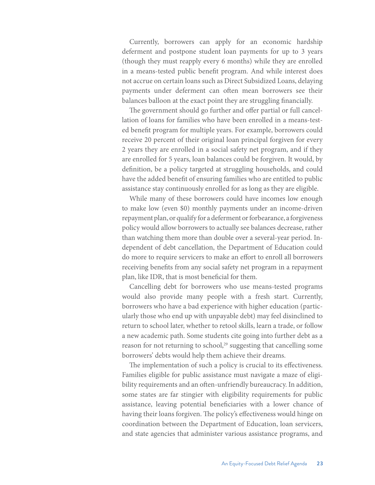Currently, borrowers can apply for an economic hardship deferment and postpone student loan payments for up to 3 years (though they must reapply every 6 months) while they are enrolled in a means-tested public benefit program. And while interest does not accrue on certain loans such as Direct Subsidized Loans, delaying payments under deferment can often mean borrowers see their balances balloon at the exact point they are struggling financially.

The government should go further and offer partial or full cancellation of loans for families who have been enrolled in a means-tested benefit program for multiple years. For example, borrowers could receive 20 percent of their original loan principal forgiven for every 2 years they are enrolled in a social safety net program, and if they are enrolled for 5 years, loan balances could be forgiven. It would, by definition, be a policy targeted at struggling households, and could have the added benefit of ensuring families who are entitled to public assistance stay continuously enrolled for as long as they are eligible.

While many of these borrowers could have incomes low enough to make low (even \$0) monthly payments under an income-driven repayment plan, or qualify for a deferment or forbearance, a forgiveness policy would allow borrowers to actually see balances decrease, rather than watching them more than double over a several-year period. Independent of debt cancellation, the Department of Education could do more to require servicers to make an effort to enroll all borrowers receiving benefits from any social safety net program in a repayment plan, like IDR, that is most beneficial for them.

Cancelling debt for borrowers who use means-tested programs would also provide many people with a fresh start. Currently, borrowers who have a bad experience with higher education (particularly those who end up with unpayable debt) may feel disinclined to return to school later, whether to retool skills, learn a trade, or follow a new academic path. Some students cite going into further debt as a reason for not returning to school,<sup>29</sup> suggesting that cancelling some borrowers' debts would help them achieve their dreams.

The implementation of such a policy is crucial to its effectiveness. Families eligible for public assistance must navigate a maze of eligibility requirements and an often-unfriendly bureaucracy. In addition, some states are far stingier with eligibility requirements for public assistance, leaving potential beneficiaries with a lower chance of having their loans forgiven. The policy's effectiveness would hinge on coordination between the Department of Education, loan servicers, and state agencies that administer various assistance programs, and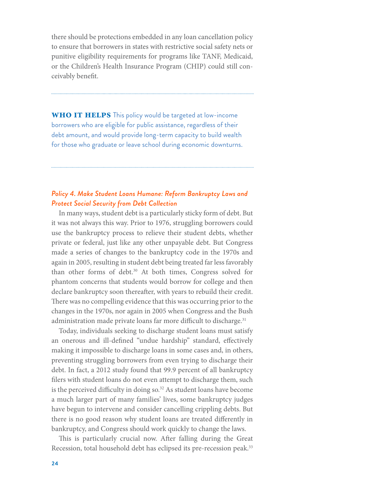there should be protections embedded in any loan cancellation policy to ensure that borrowers in states with restrictive social safety nets or punitive eligibility requirements for programs like TANF, Medicaid, or the Children's Health Insurance Program (CHIP) could still conceivably benefit.

**WHO IT HELPS** This policy would be targeted at low-income borrowers who are eligible for public assistance, regardless of their debt amount, and would provide long-term capacity to build wealth for those who graduate or leave school during economic downturns.

### *Policy 4. Make Student Loans Humane: Reform Bankruptcy Laws and Protect Social Security from Debt Collection*

In many ways, student debt is a particularly sticky form of debt. But it was not always this way. Prior to 1976, struggling borrowers could use the bankruptcy process to relieve their student debts, whether private or federal, just like any other unpayable debt. But Congress made a series of changes to the bankruptcy code in the 1970s and again in 2005, resulting in student debt being treated far less favorably than other forms of debt.<sup>30</sup> At both times, Congress solved for phantom concerns that students would borrow for college and then declare bankruptcy soon thereafter, with years to rebuild their credit. There was no compelling evidence that this was occurring prior to the changes in the 1970s, nor again in 2005 when Congress and the Bush administration made private loans far more difficult to discharge.<sup>31</sup>

Today, individuals seeking to discharge student loans must satisfy an onerous and ill-defined "undue hardship" standard, effectively making it impossible to discharge loans in some cases and, in others, preventing struggling borrowers from even trying to discharge their debt. In fact, a 2012 study found that 99.9 percent of all bankruptcy filers with student loans do not even attempt to discharge them, such is the perceived difficulty in doing so.<sup>32</sup> As student loans have become a much larger part of many families' lives, some bankruptcy judges have begun to intervene and consider cancelling crippling debts. But there is no good reason why student loans are treated differently in bankruptcy, and Congress should work quickly to change the laws.

This is particularly crucial now. After falling during the Great Recession, total household debt has eclipsed its pre-recession peak.<sup>33</sup>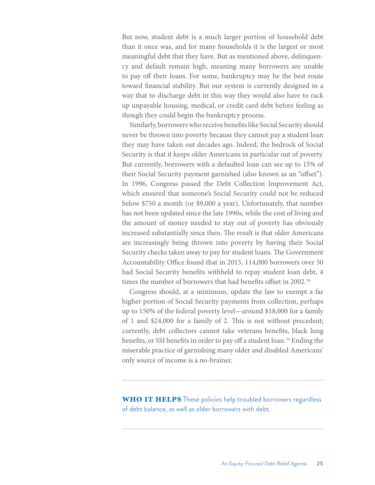But now, student debt is a much larger portion of household debt than it once was, and for many households it is the largest or most meaningful debt that they have. But as mentioned above, delinquency and default remain high, meaning many borrowers are unable to pay off their loans. For some, bankruptcy may be the best route toward financial stability. But our system is currently designed in a way that to discharge debt in this way they would also have to rack up unpayable housing, medical, or credit card debt before feeling as though they could begin the bankruptcy process.

Similarly, borrowers who receive benefits like Social Security should never be thrown into poverty because they cannot pay a student loan they may have taken out decades ago. Indeed, the bedrock of Social Security is that it keeps older Americans in particular out of poverty. But currently, borrowers with a defaulted loan can see up to 15% of their Social Security payment garnished (also known as an "offset"). In 1996, Congress passed the Debt Collection Improvement Act, which ensured that someone's Social Security could not be reduced below \$750 a month (or \$9,000 a year). Unfortunately, that number has not been updated since the late 1990s, while the cost of living and the amount of money needed to stay out of poverty has obviously increased substantially since then. The result is that older Americans are increasingly being thrown into poverty by having their Social Security checks taken away to pay for student loans. The Government Accountability Office found that in 2015, 114,000 borrowers over 50 had Social Security benefits withheld to repay student loan debt, 4 times the number of borrowers that had benefits offset in 2002.<sup>34</sup>

Congress should, at a minimum, update the law to exempt a far higher portion of Social Security payments from collection, perhaps up to 150% of the federal poverty level—around \$18,000 for a family of 1 and \$24,000 for a family of 2. This is not without precedent; currently, debt collectors cannot take veterans benefits, black lung benefits, or SSI benefits in order to pay off a student loan.35 Ending the miserable practice of garnishing many older and disabled Americans' only source of income is a no-brainer.

**WHO IT HELPS** These policies help troubled borrowers regardless of debt balance, as well as older borrowers with debt.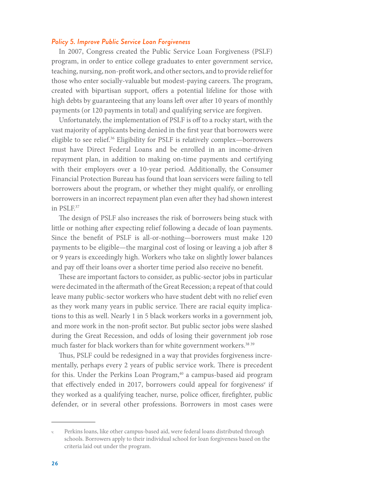#### *Policy 5. Improve Public Service Loan Forgiveness*

In 2007, Congress created the Public Service Loan Forgiveness (PSLF) program, in order to entice college graduates to enter government service, teaching, nursing, non-profit work, and other sectors, and to provide relief for those who enter socially-valuable but modest-paying careers. The program, created with bipartisan support, offers a potential lifeline for those with high debts by guaranteeing that any loans left over after 10 years of monthly payments (or 120 payments in total) and qualifying service are forgiven.

Unfortunately, the implementation of PSLF is off to a rocky start, with the vast majority of applicants being denied in the first year that borrowers were eligible to see relief.<sup>36</sup> Eligibility for PSLF is relatively complex—borrowers must have Direct Federal Loans and be enrolled in an income-driven repayment plan, in addition to making on-time payments and certifying with their employers over a 10-year period. Additionally, the Consumer Financial Protection Bureau has found that loan servicers were failing to tell borrowers about the program, or whether they might qualify, or enrolling borrowers in an incorrect repayment plan even after they had shown interest in PSLF.37

The design of PSLF also increases the risk of borrowers being stuck with little or nothing after expecting relief following a decade of loan payments. Since the benefit of PSLF is all-or-nothing—borrowers must make 120 payments to be eligible—the marginal cost of losing or leaving a job after 8 or 9 years is exceedingly high. Workers who take on slightly lower balances and pay off their loans over a shorter time period also receive no benefit.

These are important factors to consider, as public-sector jobs in particular were decimated in the aftermath of the Great Recession; a repeat of that could leave many public-sector workers who have student debt with no relief even as they work many years in public service. There are racial equity implications to this as well. Nearly 1 in 5 black workers works in a government job, and more work in the non-profit sector. But public sector jobs were slashed during the Great Recession, and odds of losing their government job rose much faster for black workers than for white government workers.<sup>38 39</sup>

Thus, PSLF could be redesigned in a way that provides forgiveness incrementally, perhaps every 2 years of public service work. There is precedent for this. Under the Perkins Loan Program,<sup>40</sup> a campus-based aid program that effectively ended in 2017, borrowers could appeal for forgiveness<sup>v</sup> if they worked as a qualifying teacher, nurse, police officer, firefighter, public defender, or in several other professions. Borrowers in most cases were

Perkins loans, like other campus-based aid, were federal loans distributed through schools. Borrowers apply to their individual school for loan forgiveness based on the criteria laid out under the program.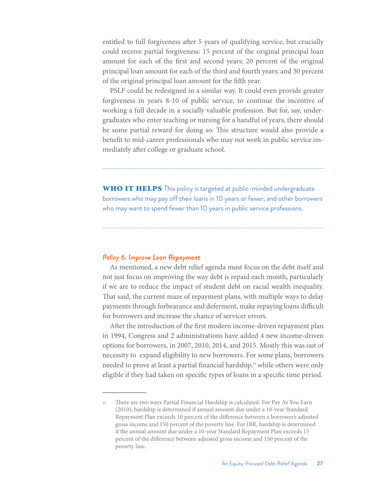entitled to full forgiveness after 5 years of qualifying service, but crucially could receive partial forgiveness: 15 percent of the original principal loan amount for each of the first and second years; 20 percent of the original principal loan amount for each of the third and fourth years; and 30 percent of the original principal loan amount for the fifth year.

PSLF could be redesigned in a similar way. It could even provide greater forgiveness in years 8-10 of public service, to continue the incentive of working a full decade in a socially valuable profession. But for, say, undergraduates who enter teaching or nursing for a handful of years, there should be some partial reward for doing so. This structure would also provide a benefit to mid-career professionals who may not work in public service immediately after college or graduate school.

**WHO IT HELPS** This policy is targeted at public-minded undergraduate borrowers who may pay off their loans in 10 years or fewer, and other borrowers who may want to spend fewer than 10 years in public service professions.

#### *Policy 6. Improve Loan Repayment*

As mentioned, a new debt relief agenda must focus on the debt itself and not just focus on improving the way debt is repaid each month, particularly if we are to reduce the impact of student debt on racial wealth inequality. That said, the current maze of repayment plans, with multiple ways to delay payments through forbearance and deferment, make repaying loans difficult for borrowers and increase the chance of servicer errors.

After the introduction of the first modern income-driven repayment plan in 1994, Congress and 2 administrations have added 4 new income-driven options for borrowers, in 2007, 2010, 2014, and 2015. Mostly this was out of necessity to expand eligibility to new borrowers. For some plans, borrowers needed to prove at least a partial financial hardship,<sup>vi</sup> while others were only eligible if they had taken on specific types of loans in a specific time period.

There are two ways Partial Financial Hardship is calculated. For Pay As You Earn (2010), hardship is determined if annual amount due under a 10-year Standard Repayment Plan exceeds 10 percent of the difference between a borrower's adjusted gross income and 150 percent of the poverty line. For IBR, hardship is determined if the annual amount due under a 10-year Standard Repayment Plan exceeds 15 percent of the difference between adjusted gross income and 150 percent of the poverty line.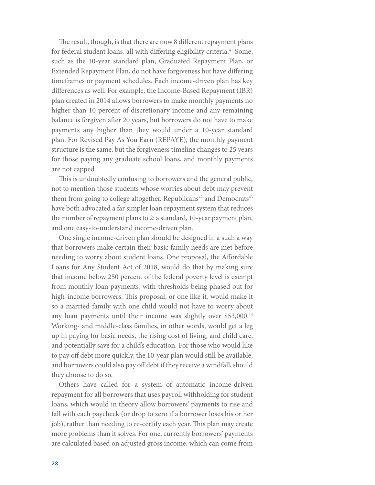The result, though, is that there are now 8 different repayment plans for federal student loans, all with differing eligibility criteria.<sup>41</sup> Some, such as the 10-year standard plan, Graduated Repayment Plan, or Extended Repayment Plan, do not have forgiveness but have differing timeframes or payment schedules. Each income-driven plan has key differences as well. For example, the Income-Based Repayment (IBR) plan created in 2014 allows borrowers to make monthly payments no higher than 10 percent of discretionary income and any remaining balance is forgiven after 20 years, but borrowers do not have to make payments any higher than they would under a 10-year standard plan. For Revised Pay As You Earn (REPAYE), the monthly payment structure is the same, but the forgiveness timeline changes to 25 years for those paying any graduate school loans, and monthly payments are not capped.

This is undoubtedly confusing to borrowers and the general public, not to mention those students whose worries about debt may prevent them from going to college altogether. Republicans<sup>42</sup> and Democrats<sup>43</sup> have both advocated a far simpler loan repayment system that reduces the number of repayment plans to 2: a standard, 10-year payment plan, and one easy-to-understand income-driven plan.

One single income-driven plan should be designed in a such a way that borrowers make certain their basic family needs are met before needing to worry about student loans. One proposal, the Affordable Loans for Any Student Act of 2018, would do that by making sure that income below 250 percent of the federal poverty level is exempt from monthly loan payments, with thresholds being phased out for high-income borrowers. This proposal, or one like it, would make it so a married family with one child would not have to worry about any loan payments until their income was slightly over \$53,000.<sup>44</sup> Working- and middle-class families, in other words, would get a leg up in paying for basic needs, the rising cost of living, and child care, and potentially save for a child's education. For those who would like to pay off debt more quickly, the 10-year plan would still be available, and borrowers could also pay off debt if they receive a windfall, should they choose to do so.

Others have called for a system of automatic income-driven repayment for all borrowers that uses payroll withholding for student loans, which would in theory allow borrowers' payments to rise and fall with each paycheck (or drop to zero if a borrower loses his or her job), rather than needing to re-certify each year. This plan may create more problems than it solves. For one, currently borrowers' payments are calculated based on adjusted gross income, which can come from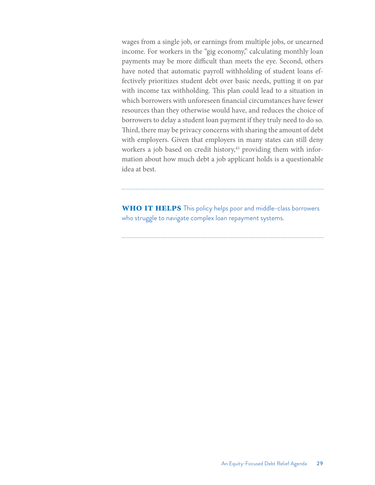wages from a single job, or earnings from multiple jobs, or unearned income. For workers in the "gig economy," calculating monthly loan payments may be more difficult than meets the eye. Second, others have noted that automatic payroll withholding of student loans effectively prioritizes student debt over basic needs, putting it on par with income tax withholding. This plan could lead to a situation in which borrowers with unforeseen financial circumstances have fewer resources than they otherwise would have, and reduces the choice of borrowers to delay a student loan payment if they truly need to do so. Third, there may be privacy concerns with sharing the amount of debt with employers. Given that employers in many states can still deny workers a job based on credit history,<sup>45</sup> providing them with information about how much debt a job applicant holds is a questionable idea at best.

**WHO IT HELPS** This policy helps poor and middle-class borrowers who struggle to navigate complex loan repayment systems.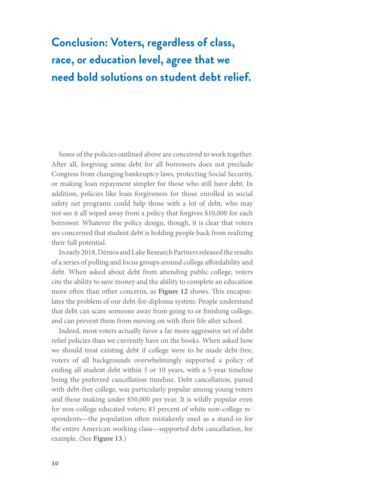# **Conclusion: Voters, regardless of class, race, or education level, agree that we need bold solutions on student debt relief.**

Some of the policies outlined above are conceived to work together. After all, forgiving some debt for all borrowers does not preclude Congress from changing bankruptcy laws, protecting Social Security, or making loan repayment simpler for those who still have debt. In addition, policies like loan forgiveness for those enrolled in social safety net programs could help those with a lot of debt, who may not see it all wiped away from a policy that forgives \$10,000 for each borrower. Whatever the policy design, though, it is clear that voters are concerned that student debt is holding people back from realizing their full potential.

In early 2018, Dēmos and Lake Research Partners released the results of a series of polling and focus groups around college affordability and debt. When asked about debt from attending public college, voters cite the ability to save money and the ability to complete an education more often than other concerns, as **Figure 12** shows. This encapsulates the problem of our debt-for-diploma system: People understand that debt can scare someone away from going to or finishing college, and can prevent them from moving on with their life after school.

Indeed, most voters actually favor a far more aggressive set of debt relief policies than we currently have on the books. When asked how we should treat existing debt if college were to be made debt-free, voters of all backgrounds overwhelmingly supported a policy of ending all student debt within 5 or 10 years, with a 5-year timeline being the preferred cancellation timeline. Debt cancellation, paired with debt-free college, was particularly popular among young voters and those making under \$50,000 per year. It is wildly popular even for non-college educated voters; 83 percent of white non-college respondents—the population often mistakenly used as a stand-in for the entire American working class—supported debt cancellation, for example. (See **Figure 13**.)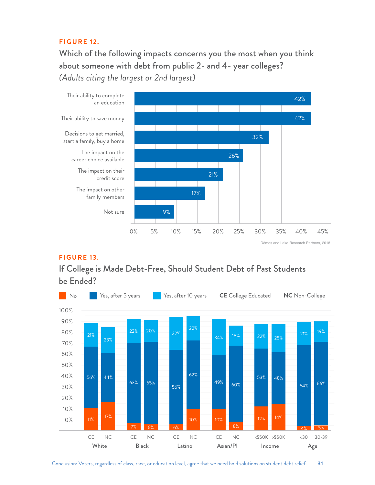### **F I G U R E 12.**

Which of the following impacts concerns you the most when you think about someone with debt from public 2- and 4- year colleges? *(Adults citing the largest or 2nd largest)*



Dēmos and Lake Research Partners, 2018

### **F I G U R E 13.**

If College is Made Debt-Free, Should Student Debt of Past Students be Ended?

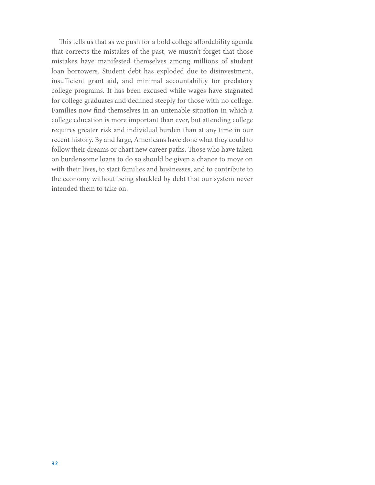This tells us that as we push for a bold college affordability agenda that corrects the mistakes of the past, we mustn't forget that those mistakes have manifested themselves among millions of student loan borrowers. Student debt has exploded due to disinvestment, insufficient grant aid, and minimal accountability for predatory college programs. It has been excused while wages have stagnated for college graduates and declined steeply for those with no college. Families now find themselves in an untenable situation in which a college education is more important than ever, but attending college requires greater risk and individual burden than at any time in our recent history. By and large, Americans have done what they could to follow their dreams or chart new career paths. Those who have taken on burdensome loans to do so should be given a chance to move on with their lives, to start families and businesses, and to contribute to the economy without being shackled by debt that our system never intended them to take on.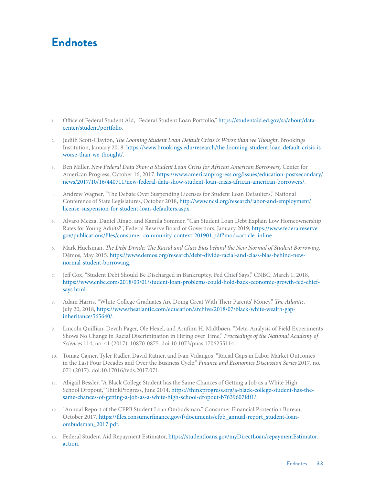# **Endnotes**

- 1. Office of Federal Student Aid, "Federal Student Loan Portfolio," [https://studentaid.ed.gov/sa/about/data](https://studentaid.ed.gov/sa/about/data-center/student/portfolio)[center/student/portfolio.](https://studentaid.ed.gov/sa/about/data-center/student/portfolio)
- 2. Judith Scott-Clayton, *The Looming Student Loan Default Crisis is Worse than we Thought*, Brookings Institution, January 2018. [https://www.brookings.edu/research/the-looming-student-loan-default-crisis-is](https://www.brookings.edu/research/the-looming-student-loan-default-crisis-is-worse-than-we-thought/)[worse-than-we-thought/.](https://www.brookings.edu/research/the-looming-student-loan-default-crisis-is-worse-than-we-thought/)
- 3. Ben Miller, *New Federal Data Show a Student Loan Crisis for African American Borrowers,* Center for American Progress, October 16, 2017. https://www.americanprogress.org/issues/education-postsecondary/ news/2017/10/16/440711/new-federal-data-show-student-loan-crisis-african-american-borrowers/.
- 4. Andrew Wagner, "The Debate Over Suspending Licenses for Student Loan Defaulters," National Conference of State Legislatures, October 2018, [http://www.ncsl.org/research/labor-and-employment/](http://www.ncsl.org/research/labor-and-employment/license-suspension-for-student-loan-defaulters.aspx) [license-suspension-for-student-loan-defaulters.aspx](http://www.ncsl.org/research/labor-and-employment/license-suspension-for-student-loan-defaulters.aspx).
- 5. Alvaro Mezza, Daniel Ringo, and Kamila Sommer, "Can Student Loan Debt Explain Low Homeownership Rates for Young Adults?", Federal Reserve Board of Governors, January 2019, [https://www.federalreserve.](https://www.federalreserve.gov/publications/files/consumer-community-context-201901.pdf?mod=article_inline) [gov/publications/files/consumer-community-context-201901.pdf?mod=article\\_inline](https://www.federalreserve.gov/publications/files/consumer-community-context-201901.pdf?mod=article_inline).
- 6. Mark Huelsman, *The Debt Divide: The Racial and Class Bias behind the New Normal of Student Borrowing*, Dēmos, May 2015. https://www.demos.org/research/debt-divide-racial-and-class-bias-behind-newnormal-student-borrowing.
- 7. Jeff Cox, "Student Debt Should Be Discharged in Bankruptcy, Fed Chief Says," CNBC, March 1, 2018, https://www.cnbc.com/2018/03/01/student-loan-problems-could-hold-back-economic-growth-fed-chiefsays.html.
- 8. Adam Harris, "White College Graduates Are Doing Great With Their Parents' Money," *The Atlantic*, July 20, 2018, https://www.theatlantic.com/education/archive/2018/07/black-white-wealth-gapinheritance/565640/.
- 9. Lincoln Quillian, Devah Pager, Ole Hexel, and Arnfinn H. Midtbøen, "Meta-Analysis of Field Experiments Shows No Change in Racial Discrimination in Hiring over Time," *Proceedings of the National Academy of Sciences* 114, no. 41 (2017): 10870-0875. doi:10.1073/pnas.1706255114.
- 10. Tomaz Cajner, Tyler Radler, David Ratner, and Ivan Vidangos, "Racial Gaps in Labor Market Outcomes in the Last Four Decades and Over the Business Cycle," *Finance and Economics Discussion Series* 2017, no. 071 (2017). doi:10.17016/feds.2017.071.
- 11. Abigail Bessler, "A Black College Student has the Same Chances of Getting a Job as a White High School Dropout," ThinkProgress, June 2014, https://thinkprogress.org/a-black-college-student-has-thesame-chances-of-getting-a-job-as-a-white-high-school-dropout-b7639607fdf1/.
- 12. "Annual Report of the CFPB Student Loan Ombudsman," Consumer Financial Protection Bureau, October 2017. [https://files.consumerfinance.gov/f/documents/cfpb\\_annual-report\\_student-loan](https://files.consumerfinance.gov/f/documents/cfpb_annual-report_student-loan-ombudsman_2017.pdf)[ombudsman\\_2017.pdf](https://files.consumerfinance.gov/f/documents/cfpb_annual-report_student-loan-ombudsman_2017.pdf).
- 13. Federal Student Aid Repayment Estimator, [https://studentloans.gov/myDirectLoan/repaymentEstimator.](https://studentloans.gov/myDirectLoan/repaymentEstimator.action) [action](https://studentloans.gov/myDirectLoan/repaymentEstimator.action).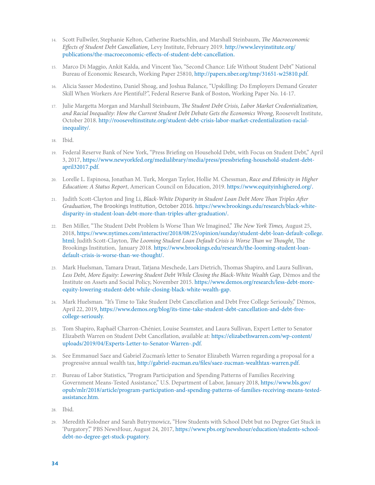- 14. Scott Fullwiler, Stephanie Kelton, Catherine Ruetschlin, and Marshall Steinbaum, *The Macroeconomic Effects of Student Debt Cancellation*, Levy Institute, February 2019. [http://www.levyinstitute.org/](http://www.levyinstitute.org/publications/the-macroeconomic-effects-of-student-debt-cancellation) [publications/the-macroeconomic-effects-of-student-debt-cancellation](http://www.levyinstitute.org/publications/the-macroeconomic-effects-of-student-debt-cancellation).
- 15. Marco Di Maggio, Ankit Kalda, and Vincent Yao, "Second Chance: Life Without Student Debt" National Bureau of Economic Research, Working Paper 25810, [http://papers.nber.org/tmp/31651-w25810.pdf.](http://papers.nber.org/tmp/31651-w25810.pdf)
- 16. Alicia Sasser Modestino, Daniel Shoag, and Joshua Balance, "Upskilling: Do Employers Demand Greater Skill When Workers Are Plentiful?", Federal Reserve Bank of Boston, Working Paper No. 14-17.
- 17. Julie Margetta Morgan and Marshall Steinbaum, *The Student Debt Crisis, Labor Market Credentialization, and Racial Inequality: How the Current Student Debt Debate Gets the Economics Wrong*, Roosevelt Institute, October 2018. [http://rooseveltinstitute.org/student-debt-crisis-labor-market-credentialization-racial](http://rooseveltinstitute.org/student-debt-crisis-labor-market-credentialization-racial-inequality/)[inequality/](http://rooseveltinstitute.org/student-debt-crisis-labor-market-credentialization-racial-inequality/).
- 18. Ibid.
- 19. Federal Reserve Bank of New York, "Press Briefing on Household Debt, with Focus on Student Debt," April 3, 2017, https://www.newyorkfed.org/medialibrary/media/press/pressbriefing-household-student-debtapril32017.pdf.
- 20. Lorelle L. Espinosa, Jonathan M. Turk, Morgan Taylor, Hollie M. Chessman, *Race and Ethnicity in Higher Education: A Status Report*, American Council on Education, 2019. <https://www.equityinhighered.org/>.
- 21. Judith Scott-Clayton and Jing Li, *Black-White Disparity in Student Loan Debt More Than Triples After Graduation*, The Brookings Institution, October 2016. [https://www.brookings.edu/research/black-white](https://www.brookings.edu/research/black-white-disparity-in-student-loan-debt-more-than-triples-after-graduation/)[disparity-in-student-loan-debt-more-than-triples-after-graduation/](https://www.brookings.edu/research/black-white-disparity-in-student-loan-debt-more-than-triples-after-graduation/).
- 22. Ben Miller, "The Student Debt Problem Is Worse Than We Imagined," *The New York Times,* August 25, 2018, [https://www.nytimes.com/interactive/2018/08/25/opinion/sunday/student-debt-loan-default-college.](https://www.nytimes.com/interactive/2018/08/25/opinion/sunday/student-debt-loan-default-college.html) [html](https://www.nytimes.com/interactive/2018/08/25/opinion/sunday/student-debt-loan-default-college.html); Judith Scott-Clayton, *The Looming Student Loan Default Crisis is Worse Than we Thought*, The Brookings Institution, January 2018. [https://www.brookings.edu/research/the-looming-student-loan](https://www.brookings.edu/research/the-looming-student-loan-default-crisis-is-worse-than-we-thought/)[default-crisis-is-worse-than-we-thought/](https://www.brookings.edu/research/the-looming-student-loan-default-crisis-is-worse-than-we-thought/).
- 23. Mark Huelsman, Tamara Draut, Tatjana Meschede, Lars Dietrich, Thomas Shapiro, and Laura Sullivan, *Less Debt, More Equity: Lowering Student Debt While Closing the Black-White Wealth Gap,* Dēmos and the Institute on Assets and Social Policy, November 2015. [https://www.demos.org/research/less-debt-more](https://www.demos.org/research/less-debt-more-equity-lowering-student-debt-while-closing-black-white-wealth-gap)[equity-lowering-student-debt-while-closing-black-white-wealth-gap](https://www.demos.org/research/less-debt-more-equity-lowering-student-debt-while-closing-black-white-wealth-gap).
- 24. Mark Huelsman. "It's Time to Take Student Debt Cancellation and Debt Free College Seriously," Dēmos, April 22, 2019, [https://www.demos.org/blog/its-time-take-student-debt-cancellation-and-debt-free](https://www.demos.org/blog/its-time-take-student-debt-cancellation-and-debt-free-college-seriously)[college-seriously.](https://www.demos.org/blog/its-time-take-student-debt-cancellation-and-debt-free-college-seriously)
- 25. Tom Shapiro, Raphaël Charron-Chénier, Louise Seamster, and Laura Sullivan, Expert Letter to Senator Elizabeth Warren on Student Debt Cancellation, available at: [https://elizabethwarren.com/wp-content/](https://elizabethwarren.com/wp-content/uploads/2019/04/Experts-Letter-to-Senator-Warren-.pdf) [uploads/2019/04/Experts-Letter-to-Senator-Warren-.pdf](https://elizabethwarren.com/wp-content/uploads/2019/04/Experts-Letter-to-Senator-Warren-.pdf).
- 26. See Emmanuel Saez and Gabriel Zucman's letter to Senator Elizabeth Warren regarding a proposal for a progressive annual wealth tax, [http://gabriel-zucman.eu/files/saez-zucman-wealthtax-warren.pdf.](http://gabriel-zucman.eu/files/saez-zucman-wealthtax-warren.pdf)
- 27. Bureau of Labor Statistics, "Program Participation and Spending Patterns of Families Receiving Government Means-Tested Assistance," U.S. Department of Labor, January 2018, [https://www.bls.gov/](https://www.bls.gov/opub/mlr/2018/article/program-participation-and-spending-patterns-of-families-receiving-means-tested-assistance.htm) [opub/mlr/2018/article/program-participation-and-spending-patterns-of-families-receiving-means-tested](https://www.bls.gov/opub/mlr/2018/article/program-participation-and-spending-patterns-of-families-receiving-means-tested-assistance.htm)[assistance.htm.](https://www.bls.gov/opub/mlr/2018/article/program-participation-and-spending-patterns-of-families-receiving-means-tested-assistance.htm)
- 28. Ibid.
- 29. Meredith Kolodner and Sarah Butrymowicz, "How Students with School Debt but no Degree Get Stuck in 'Purgatory'," PBS NewsHour, August 24, 2017, [https://www.pbs.org/newshour/education/students-school](https://www.pbs.org/newshour/education/students-school-debt-no-degree-get-stuck-pugatory)[debt-no-degree-get-stuck-pugatory](https://www.pbs.org/newshour/education/students-school-debt-no-degree-get-stuck-pugatory).